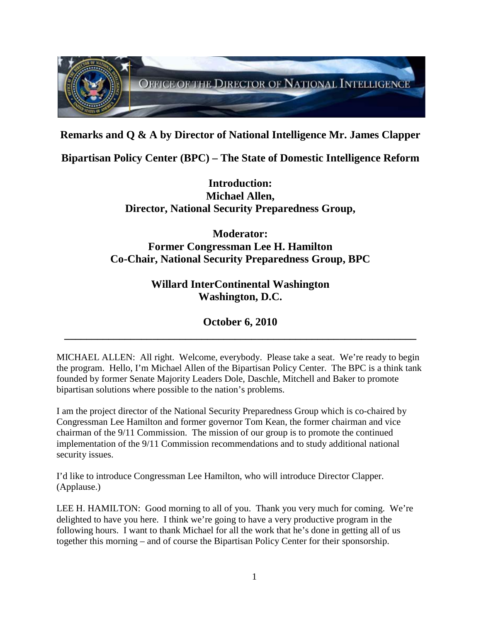

**Remarks and Q & A by Director of National Intelligence Mr. James Clapper**

**Bipartisan Policy Center (BPC) – The State of Domestic Intelligence Reform**

**Introduction: Michael Allen, Director, National Security Preparedness Group,**

## **Moderator: Former Congressman Lee H. Hamilton Co-Chair, National Security Preparedness Group, BPC**

**Willard InterContinental Washington Washington, D.C.**

**October 6, 2010 \_\_\_\_\_\_\_\_\_\_\_\_\_\_\_\_\_\_\_\_\_\_\_\_\_\_\_\_\_\_\_\_\_\_\_\_\_\_\_\_\_\_\_\_\_\_\_\_\_\_\_\_\_\_\_\_\_\_\_\_\_\_\_\_**

MICHAEL ALLEN: All right. Welcome, everybody. Please take a seat. We're ready to begin the program. Hello, I'm Michael Allen of the Bipartisan Policy Center. The BPC is a think tank founded by former Senate Majority Leaders Dole, Daschle, Mitchell and Baker to promote bipartisan solutions where possible to the nation's problems.

I am the project director of the National Security Preparedness Group which is co-chaired by Congressman Lee Hamilton and former governor Tom Kean, the former chairman and vice chairman of the 9/11 Commission. The mission of our group is to promote the continued implementation of the 9/11 Commission recommendations and to study additional national security issues.

I'd like to introduce Congressman Lee Hamilton, who will introduce Director Clapper. (Applause.)

LEE H. HAMILTON: Good morning to all of you. Thank you very much for coming. We're delighted to have you here. I think we're going to have a very productive program in the following hours. I want to thank Michael for all the work that he's done in getting all of us together this morning – and of course the Bipartisan Policy Center for their sponsorship.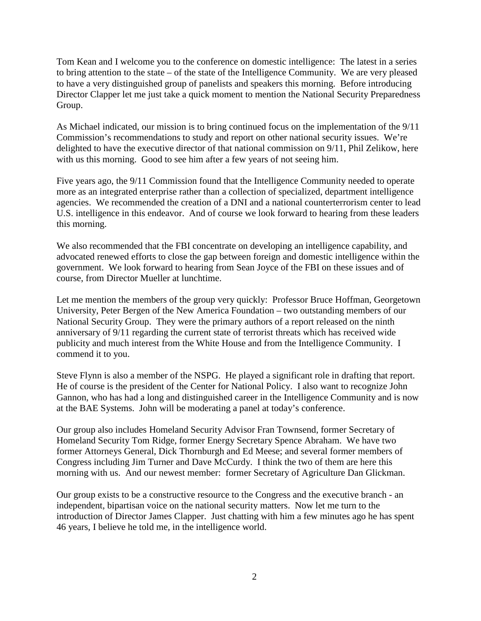Tom Kean and I welcome you to the conference on domestic intelligence: The latest in a series to bring attention to the state – of the state of the Intelligence Community. We are very pleased to have a very distinguished group of panelists and speakers this morning. Before introducing Director Clapper let me just take a quick moment to mention the National Security Preparedness Group.

As Michael indicated, our mission is to bring continued focus on the implementation of the 9/11 Commission's recommendations to study and report on other national security issues. We're delighted to have the executive director of that national commission on 9/11, Phil Zelikow, here with us this morning. Good to see him after a few years of not seeing him.

Five years ago, the 9/11 Commission found that the Intelligence Community needed to operate more as an integrated enterprise rather than a collection of specialized, department intelligence agencies. We recommended the creation of a DNI and a national counterterrorism center to lead U.S. intelligence in this endeavor. And of course we look forward to hearing from these leaders this morning.

We also recommended that the FBI concentrate on developing an intelligence capability, and advocated renewed efforts to close the gap between foreign and domestic intelligence within the government. We look forward to hearing from Sean Joyce of the FBI on these issues and of course, from Director Mueller at lunchtime.

Let me mention the members of the group very quickly: Professor Bruce Hoffman, Georgetown University, Peter Bergen of the New America Foundation – two outstanding members of our National Security Group. They were the primary authors of a report released on the ninth anniversary of 9/11 regarding the current state of terrorist threats which has received wide publicity and much interest from the White House and from the Intelligence Community. I commend it to you.

Steve Flynn is also a member of the NSPG. He played a significant role in drafting that report. He of course is the president of the Center for National Policy. I also want to recognize John Gannon, who has had a long and distinguished career in the Intelligence Community and is now at the BAE Systems. John will be moderating a panel at today's conference.

Our group also includes Homeland Security Advisor Fran Townsend, former Secretary of Homeland Security Tom Ridge, former Energy Secretary Spence Abraham. We have two former Attorneys General, Dick Thornburgh and Ed Meese; and several former members of Congress including Jim Turner and Dave McCurdy. I think the two of them are here this morning with us. And our newest member: former Secretary of Agriculture Dan Glickman.

Our group exists to be a constructive resource to the Congress and the executive branch - an independent, bipartisan voice on the national security matters. Now let me turn to the introduction of Director James Clapper. Just chatting with him a few minutes ago he has spent 46 years, I believe he told me, in the intelligence world.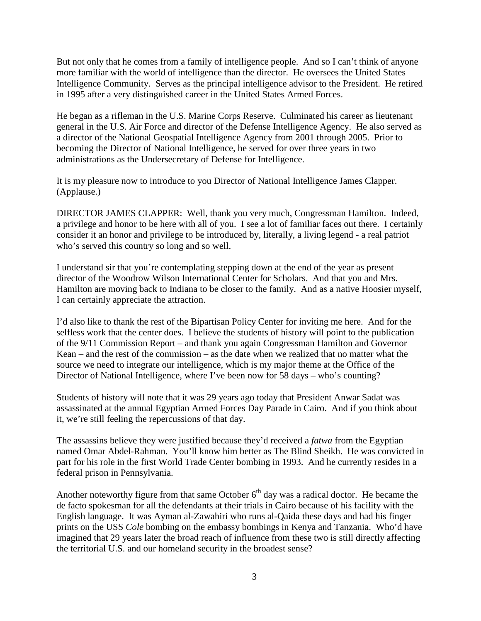But not only that he comes from a family of intelligence people. And so I can't think of anyone more familiar with the world of intelligence than the director. He oversees the United States Intelligence Community. Serves as the principal intelligence advisor to the President. He retired in 1995 after a very distinguished career in the United States Armed Forces.

He began as a rifleman in the U.S. Marine Corps Reserve. Culminated his career as lieutenant general in the U.S. Air Force and director of the Defense Intelligence Agency. He also served as a director of the National Geospatial Intelligence Agency from 2001 through 2005. Prior to becoming the Director of National Intelligence, he served for over three years in two administrations as the Undersecretary of Defense for Intelligence.

It is my pleasure now to introduce to you Director of National Intelligence James Clapper. (Applause.)

DIRECTOR JAMES CLAPPER: Well, thank you very much, Congressman Hamilton. Indeed, a privilege and honor to be here with all of you. I see a lot of familiar faces out there. I certainly consider it an honor and privilege to be introduced by, literally, a living legend - a real patriot who's served this country so long and so well.

I understand sir that you're contemplating stepping down at the end of the year as present director of the Woodrow Wilson International Center for Scholars. And that you and Mrs. Hamilton are moving back to Indiana to be closer to the family. And as a native Hoosier myself, I can certainly appreciate the attraction.

I'd also like to thank the rest of the Bipartisan Policy Center for inviting me here. And for the selfless work that the center does. I believe the students of history will point to the publication of the 9/11 Commission Report – and thank you again Congressman Hamilton and Governor Kean – and the rest of the commission – as the date when we realized that no matter what the source we need to integrate our intelligence, which is my major theme at the Office of the Director of National Intelligence, where I've been now for 58 days – who's counting?

Students of history will note that it was 29 years ago today that President Anwar Sadat was assassinated at the annual Egyptian Armed Forces Day Parade in Cairo. And if you think about it, we're still feeling the repercussions of that day.

The assassins believe they were justified because they'd received a *fatwa* from the Egyptian named Omar Abdel-Rahman. You'll know him better as The Blind Sheikh. He was convicted in part for his role in the first World Trade Center bombing in 1993. And he currently resides in a federal prison in Pennsylvania.

Another noteworthy figure from that same October  $6<sup>th</sup>$  day was a radical doctor. He became the de facto spokesman for all the defendants at their trials in Cairo because of his facility with the English language. It was Ayman al-Zawahiri who runs al-Qaida these days and had his finger prints on the USS *Cole* bombing on the embassy bombings in Kenya and Tanzania. Who'd have imagined that 29 years later the broad reach of influence from these two is still directly affecting the territorial U.S. and our homeland security in the broadest sense?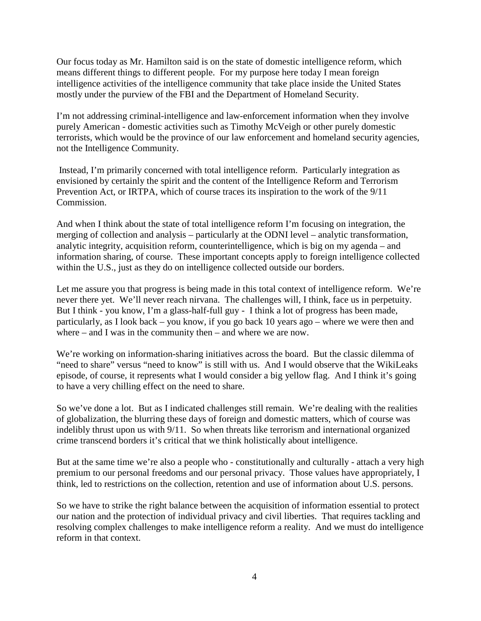Our focus today as Mr. Hamilton said is on the state of domestic intelligence reform, which means different things to different people. For my purpose here today I mean foreign intelligence activities of the intelligence community that take place inside the United States mostly under the purview of the FBI and the Department of Homeland Security.

I'm not addressing criminal-intelligence and law-enforcement information when they involve purely American - domestic activities such as Timothy McVeigh or other purely domestic terrorists, which would be the province of our law enforcement and homeland security agencies, not the Intelligence Community.

Instead, I'm primarily concerned with total intelligence reform. Particularly integration as envisioned by certainly the spirit and the content of the Intelligence Reform and Terrorism Prevention Act, or IRTPA, which of course traces its inspiration to the work of the 9/11 Commission.

And when I think about the state of total intelligence reform I'm focusing on integration, the merging of collection and analysis – particularly at the ODNI level – analytic transformation, analytic integrity, acquisition reform, counterintelligence, which is big on my agenda – and information sharing, of course. These important concepts apply to foreign intelligence collected within the U.S., just as they do on intelligence collected outside our borders.

Let me assure you that progress is being made in this total context of intelligence reform. We're never there yet. We'll never reach nirvana. The challenges will, I think, face us in perpetuity. But I think - you know, I'm a glass-half-full guy - I think a lot of progress has been made, particularly, as I look back – you know, if you go back 10 years ago – where we were then and where – and I was in the community then – and where we are now.

We're working on information-sharing initiatives across the board. But the classic dilemma of "need to share" versus "need to know" is still with us. And I would observe that the WikiLeaks episode, of course, it represents what I would consider a big yellow flag. And I think it's going to have a very chilling effect on the need to share.

So we've done a lot. But as I indicated challenges still remain. We're dealing with the realities of globalization, the blurring these days of foreign and domestic matters, which of course was indelibly thrust upon us with 9/11. So when threats like terrorism and international organized crime transcend borders it's critical that we think holistically about intelligence.

But at the same time we're also a people who - constitutionally and culturally - attach a very high premium to our personal freedoms and our personal privacy. Those values have appropriately, I think, led to restrictions on the collection, retention and use of information about U.S. persons.

So we have to strike the right balance between the acquisition of information essential to protect our nation and the protection of individual privacy and civil liberties. That requires tackling and resolving complex challenges to make intelligence reform a reality. And we must do intelligence reform in that context.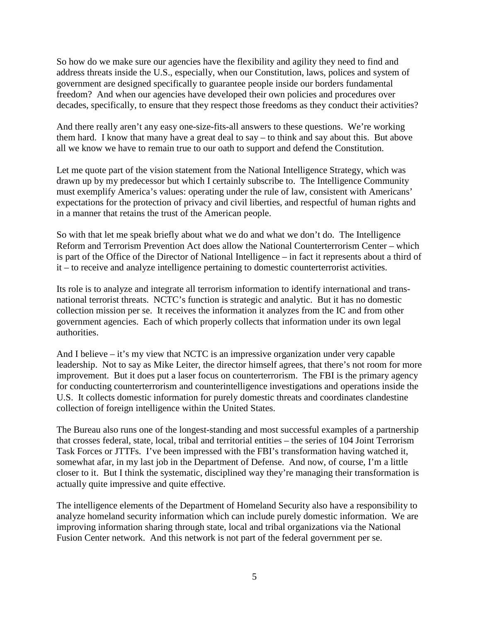So how do we make sure our agencies have the flexibility and agility they need to find and address threats inside the U.S., especially, when our Constitution, laws, polices and system of government are designed specifically to guarantee people inside our borders fundamental freedom? And when our agencies have developed their own policies and procedures over decades, specifically, to ensure that they respect those freedoms as they conduct their activities?

And there really aren't any easy one-size-fits-all answers to these questions. We're working them hard. I know that many have a great deal to say – to think and say about this. But above all we know we have to remain true to our oath to support and defend the Constitution.

Let me quote part of the vision statement from the National Intelligence Strategy, which was drawn up by my predecessor but which I certainly subscribe to. The Intelligence Community must exemplify America's values: operating under the rule of law, consistent with Americans' expectations for the protection of privacy and civil liberties, and respectful of human rights and in a manner that retains the trust of the American people.

So with that let me speak briefly about what we do and what we don't do. The Intelligence Reform and Terrorism Prevention Act does allow the National Counterterrorism Center – which is part of the Office of the Director of National Intelligence – in fact it represents about a third of it – to receive and analyze intelligence pertaining to domestic counterterrorist activities.

Its role is to analyze and integrate all terrorism information to identify international and transnational terrorist threats. NCTC's function is strategic and analytic. But it has no domestic collection mission per se. It receives the information it analyzes from the IC and from other government agencies. Each of which properly collects that information under its own legal authorities.

And I believe – it's my view that NCTC is an impressive organization under very capable leadership. Not to say as Mike Leiter, the director himself agrees, that there's not room for more improvement. But it does put a laser focus on counterterrorism. The FBI is the primary agency for conducting counterterrorism and counterintelligence investigations and operations inside the U.S. It collects domestic information for purely domestic threats and coordinates clandestine collection of foreign intelligence within the United States.

The Bureau also runs one of the longest-standing and most successful examples of a partnership that crosses federal, state, local, tribal and territorial entities – the series of 104 Joint Terrorism Task Forces or JTTFs. I've been impressed with the FBI's transformation having watched it, somewhat afar, in my last job in the Department of Defense. And now, of course, I'm a little closer to it. But I think the systematic, disciplined way they're managing their transformation is actually quite impressive and quite effective.

The intelligence elements of the Department of Homeland Security also have a responsibility to analyze homeland security information which can include purely domestic information. We are improving information sharing through state, local and tribal organizations via the National Fusion Center network. And this network is not part of the federal government per se.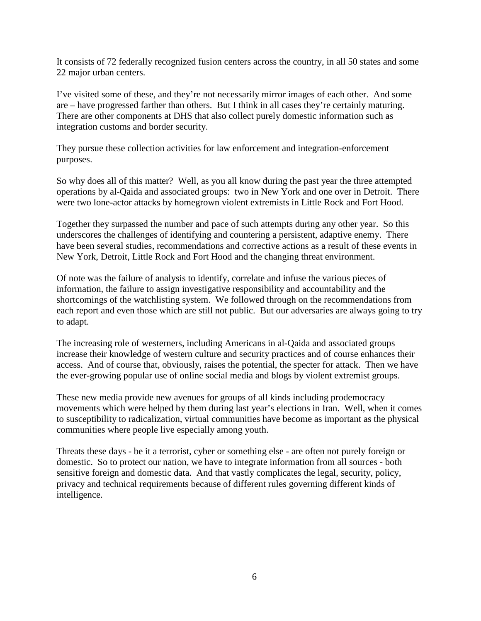It consists of 72 federally recognized fusion centers across the country, in all 50 states and some 22 major urban centers.

I've visited some of these, and they're not necessarily mirror images of each other. And some are – have progressed farther than others. But I think in all cases they're certainly maturing. There are other components at DHS that also collect purely domestic information such as integration customs and border security.

They pursue these collection activities for law enforcement and integration-enforcement purposes.

So why does all of this matter? Well, as you all know during the past year the three attempted operations by al-Qaida and associated groups: two in New York and one over in Detroit. There were two lone-actor attacks by homegrown violent extremists in Little Rock and Fort Hood.

Together they surpassed the number and pace of such attempts during any other year. So this underscores the challenges of identifying and countering a persistent, adaptive enemy. There have been several studies, recommendations and corrective actions as a result of these events in New York, Detroit, Little Rock and Fort Hood and the changing threat environment.

Of note was the failure of analysis to identify, correlate and infuse the various pieces of information, the failure to assign investigative responsibility and accountability and the shortcomings of the watchlisting system. We followed through on the recommendations from each report and even those which are still not public. But our adversaries are always going to try to adapt.

The increasing role of westerners, including Americans in al-Qaida and associated groups increase their knowledge of western culture and security practices and of course enhances their access. And of course that, obviously, raises the potential, the specter for attack. Then we have the ever-growing popular use of online social media and blogs by violent extremist groups.

These new media provide new avenues for groups of all kinds including prodemocracy movements which were helped by them during last year's elections in Iran. Well, when it comes to susceptibility to radicalization, virtual communities have become as important as the physical communities where people live especially among youth.

Threats these days - be it a terrorist, cyber or something else - are often not purely foreign or domestic. So to protect our nation, we have to integrate information from all sources - both sensitive foreign and domestic data. And that vastly complicates the legal, security, policy, privacy and technical requirements because of different rules governing different kinds of intelligence.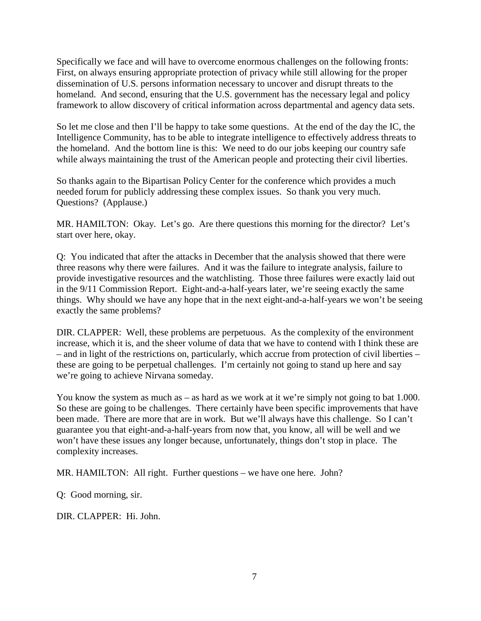Specifically we face and will have to overcome enormous challenges on the following fronts: First, on always ensuring appropriate protection of privacy while still allowing for the proper dissemination of U.S. persons information necessary to uncover and disrupt threats to the homeland. And second, ensuring that the U.S. government has the necessary legal and policy framework to allow discovery of critical information across departmental and agency data sets.

So let me close and then I'll be happy to take some questions. At the end of the day the IC, the Intelligence Community, has to be able to integrate intelligence to effectively address threats to the homeland. And the bottom line is this: We need to do our jobs keeping our country safe while always maintaining the trust of the American people and protecting their civil liberties.

So thanks again to the Bipartisan Policy Center for the conference which provides a much needed forum for publicly addressing these complex issues. So thank you very much. Questions? (Applause.)

MR. HAMILTON: Okay. Let's go. Are there questions this morning for the director? Let's start over here, okay.

Q: You indicated that after the attacks in December that the analysis showed that there were three reasons why there were failures. And it was the failure to integrate analysis, failure to provide investigative resources and the watchlisting. Those three failures were exactly laid out in the 9/11 Commission Report. Eight-and-a-half-years later, we're seeing exactly the same things. Why should we have any hope that in the next eight-and-a-half-years we won't be seeing exactly the same problems?

DIR. CLAPPER: Well, these problems are perpetuous. As the complexity of the environment increase, which it is, and the sheer volume of data that we have to contend with I think these are – and in light of the restrictions on, particularly, which accrue from protection of civil liberties – these are going to be perpetual challenges. I'm certainly not going to stand up here and say we're going to achieve Nirvana someday.

You know the system as much as – as hard as we work at it we're simply not going to bat 1.000. So these are going to be challenges. There certainly have been specific improvements that have been made. There are more that are in work. But we'll always have this challenge. So I can't guarantee you that eight-and-a-half-years from now that, you know, all will be well and we won't have these issues any longer because, unfortunately, things don't stop in place. The complexity increases.

MR. HAMILTON: All right. Further questions – we have one here. John?

Q: Good morning, sir.

DIR. CLAPPER: Hi. John.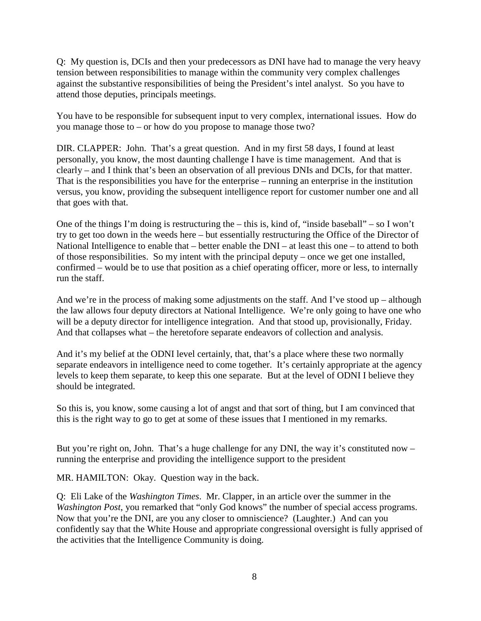Q: My question is, DCIs and then your predecessors as DNI have had to manage the very heavy tension between responsibilities to manage within the community very complex challenges against the substantive responsibilities of being the President's intel analyst. So you have to attend those deputies, principals meetings.

You have to be responsible for subsequent input to very complex, international issues. How do you manage those to – or how do you propose to manage those two?

DIR. CLAPPER: John. That's a great question. And in my first 58 days, I found at least personally, you know, the most daunting challenge I have is time management. And that is clearly – and I think that's been an observation of all previous DNIs and DCIs, for that matter. That is the responsibilities you have for the enterprise – running an enterprise in the institution versus, you know, providing the subsequent intelligence report for customer number one and all that goes with that.

One of the things I'm doing is restructuring the – this is, kind of, "inside baseball" – so I won't try to get too down in the weeds here – but essentially restructuring the Office of the Director of National Intelligence to enable that – better enable the DNI – at least this one – to attend to both of those responsibilities. So my intent with the principal deputy – once we get one installed, confirmed – would be to use that position as a chief operating officer, more or less, to internally run the staff.

And we're in the process of making some adjustments on the staff. And I've stood up – although the law allows four deputy directors at National Intelligence. We're only going to have one who will be a deputy director for intelligence integration. And that stood up, provisionally, Friday. And that collapses what – the heretofore separate endeavors of collection and analysis.

And it's my belief at the ODNI level certainly, that, that's a place where these two normally separate endeavors in intelligence need to come together. It's certainly appropriate at the agency levels to keep them separate, to keep this one separate. But at the level of ODNI I believe they should be integrated.

So this is, you know, some causing a lot of angst and that sort of thing, but I am convinced that this is the right way to go to get at some of these issues that I mentioned in my remarks.

But you're right on, John. That's a huge challenge for any DNI, the way it's constituted now – running the enterprise and providing the intelligence support to the president

MR. HAMILTON: Okay. Question way in the back.

Q: Eli Lake of the *Washington Times*. Mr. Clapper, in an article over the summer in the *Washington Post*, you remarked that "only God knows" the number of special access programs. Now that you're the DNI, are you any closer to omniscience? (Laughter.) And can you confidently say that the White House and appropriate congressional oversight is fully apprised of the activities that the Intelligence Community is doing.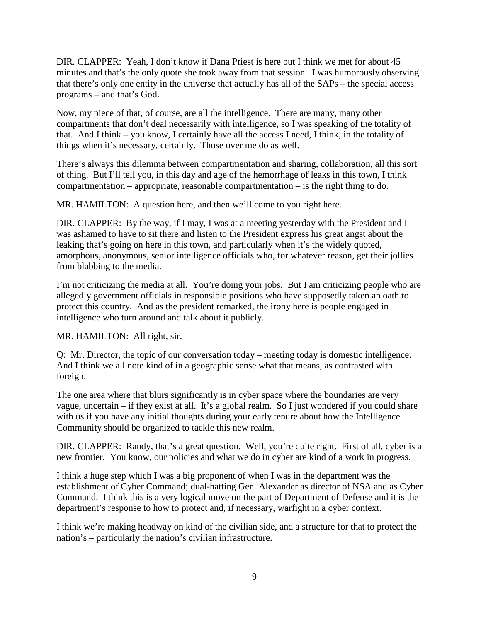DIR. CLAPPER: Yeah, I don't know if Dana Priest is here but I think we met for about 45 minutes and that's the only quote she took away from that session. I was humorously observing that there's only one entity in the universe that actually has all of the SAPs – the special access programs – and that's God.

Now, my piece of that, of course, are all the intelligence. There are many, many other compartments that don't deal necessarily with intelligence, so I was speaking of the totality of that. And I think – you know, I certainly have all the access I need, I think, in the totality of things when it's necessary, certainly. Those over me do as well.

There's always this dilemma between compartmentation and sharing, collaboration, all this sort of thing. But I'll tell you, in this day and age of the hemorrhage of leaks in this town, I think compartmentation – appropriate, reasonable compartmentation – is the right thing to do.

MR. HAMILTON: A question here, and then we'll come to you right here.

DIR. CLAPPER: By the way, if I may, I was at a meeting yesterday with the President and I was ashamed to have to sit there and listen to the President express his great angst about the leaking that's going on here in this town, and particularly when it's the widely quoted, amorphous, anonymous, senior intelligence officials who, for whatever reason, get their jollies from blabbing to the media.

I'm not criticizing the media at all. You're doing your jobs. But I am criticizing people who are allegedly government officials in responsible positions who have supposedly taken an oath to protect this country. And as the president remarked, the irony here is people engaged in intelligence who turn around and talk about it publicly.

MR. HAMILTON: All right, sir.

Q: Mr. Director, the topic of our conversation today – meeting today is domestic intelligence. And I think we all note kind of in a geographic sense what that means, as contrasted with foreign.

The one area where that blurs significantly is in cyber space where the boundaries are very vague, uncertain – if they exist at all. It's a global realm. So I just wondered if you could share with us if you have any initial thoughts during your early tenure about how the Intelligence Community should be organized to tackle this new realm.

DIR. CLAPPER: Randy, that's a great question. Well, you're quite right. First of all, cyber is a new frontier. You know, our policies and what we do in cyber are kind of a work in progress.

I think a huge step which I was a big proponent of when I was in the department was the establishment of Cyber Command; dual-hatting Gen. Alexander as director of NSA and as Cyber Command. I think this is a very logical move on the part of Department of Defense and it is the department's response to how to protect and, if necessary, warfight in a cyber context.

I think we're making headway on kind of the civilian side, and a structure for that to protect the nation's – particularly the nation's civilian infrastructure.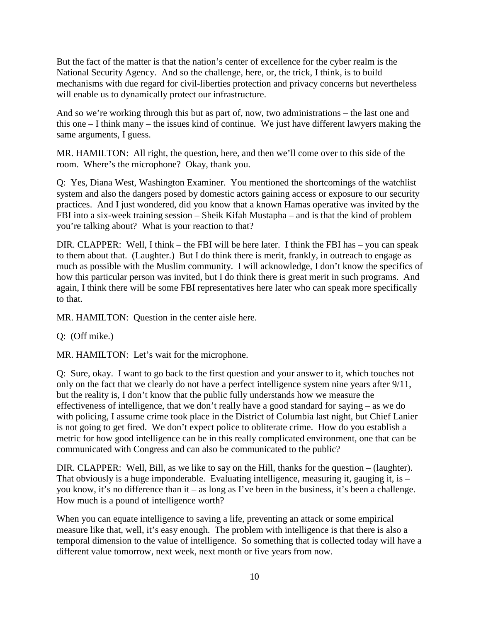But the fact of the matter is that the nation's center of excellence for the cyber realm is the National Security Agency. And so the challenge, here, or, the trick, I think, is to build mechanisms with due regard for civil-liberties protection and privacy concerns but nevertheless will enable us to dynamically protect our infrastructure.

And so we're working through this but as part of, now, two administrations – the last one and this one – I think many – the issues kind of continue. We just have different lawyers making the same arguments, I guess.

MR. HAMILTON: All right, the question, here, and then we'll come over to this side of the room. Where's the microphone? Okay, thank you.

Q: Yes, Diana West, Washington Examiner. You mentioned the shortcomings of the watchlist system and also the dangers posed by domestic actors gaining access or exposure to our security practices. And I just wondered, did you know that a known Hamas operative was invited by the FBI into a six-week training session – Sheik Kifah Mustapha – and is that the kind of problem you're talking about? What is your reaction to that?

DIR. CLAPPER: Well, I think – the FBI will be here later. I think the FBI has – you can speak to them about that. (Laughter.) But I do think there is merit, frankly, in outreach to engage as much as possible with the Muslim community. I will acknowledge, I don't know the specifics of how this particular person was invited, but I do think there is great merit in such programs. And again, I think there will be some FBI representatives here later who can speak more specifically to that.

MR. HAMILTON: Question in the center aisle here.

Q: (Off mike.)

MR. HAMILTON: Let's wait for the microphone.

Q: Sure, okay. I want to go back to the first question and your answer to it, which touches not only on the fact that we clearly do not have a perfect intelligence system nine years after 9/11, but the reality is, I don't know that the public fully understands how we measure the effectiveness of intelligence, that we don't really have a good standard for saying – as we do with policing, I assume crime took place in the District of Columbia last night, but Chief Lanier is not going to get fired. We don't expect police to obliterate crime. How do you establish a metric for how good intelligence can be in this really complicated environment, one that can be communicated with Congress and can also be communicated to the public?

DIR. CLAPPER: Well, Bill, as we like to say on the Hill, thanks for the question – (laughter). That obviously is a huge imponderable. Evaluating intelligence, measuring it, gauging it, is – you know, it's no difference than it – as long as I've been in the business, it's been a challenge. How much is a pound of intelligence worth?

When you can equate intelligence to saving a life, preventing an attack or some empirical measure like that, well, it's easy enough. The problem with intelligence is that there is also a temporal dimension to the value of intelligence. So something that is collected today will have a different value tomorrow, next week, next month or five years from now.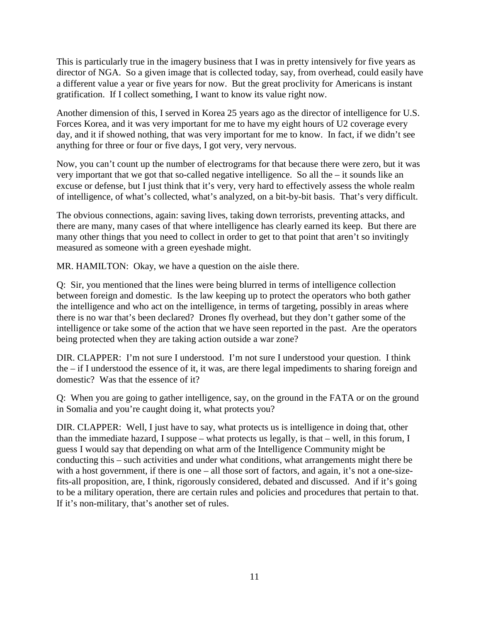This is particularly true in the imagery business that I was in pretty intensively for five years as director of NGA. So a given image that is collected today, say, from overhead, could easily have a different value a year or five years for now. But the great proclivity for Americans is instant gratification. If I collect something, I want to know its value right now.

Another dimension of this, I served in Korea 25 years ago as the director of intelligence for U.S. Forces Korea, and it was very important for me to have my eight hours of U2 coverage every day, and it if showed nothing, that was very important for me to know. In fact, if we didn't see anything for three or four or five days, I got very, very nervous.

Now, you can't count up the number of electrograms for that because there were zero, but it was very important that we got that so-called negative intelligence. So all the – it sounds like an excuse or defense, but I just think that it's very, very hard to effectively assess the whole realm of intelligence, of what's collected, what's analyzed, on a bit-by-bit basis. That's very difficult.

The obvious connections, again: saving lives, taking down terrorists, preventing attacks, and there are many, many cases of that where intelligence has clearly earned its keep. But there are many other things that you need to collect in order to get to that point that aren't so invitingly measured as someone with a green eyeshade might.

MR. HAMILTON: Okay, we have a question on the aisle there.

Q: Sir, you mentioned that the lines were being blurred in terms of intelligence collection between foreign and domestic. Is the law keeping up to protect the operators who both gather the intelligence and who act on the intelligence, in terms of targeting, possibly in areas where there is no war that's been declared? Drones fly overhead, but they don't gather some of the intelligence or take some of the action that we have seen reported in the past. Are the operators being protected when they are taking action outside a war zone?

DIR. CLAPPER: I'm not sure I understood. I'm not sure I understood your question. I think the – if I understood the essence of it, it was, are there legal impediments to sharing foreign and domestic? Was that the essence of it?

Q: When you are going to gather intelligence, say, on the ground in the FATA or on the ground in Somalia and you're caught doing it, what protects you?

DIR. CLAPPER: Well, I just have to say, what protects us is intelligence in doing that, other than the immediate hazard, I suppose – what protects us legally, is that – well, in this forum, I guess I would say that depending on what arm of the Intelligence Community might be conducting this – such activities and under what conditions, what arrangements might there be with a host government, if there is one – all those sort of factors, and again, it's not a one-sizefits-all proposition, are, I think, rigorously considered, debated and discussed. And if it's going to be a military operation, there are certain rules and policies and procedures that pertain to that. If it's non-military, that's another set of rules.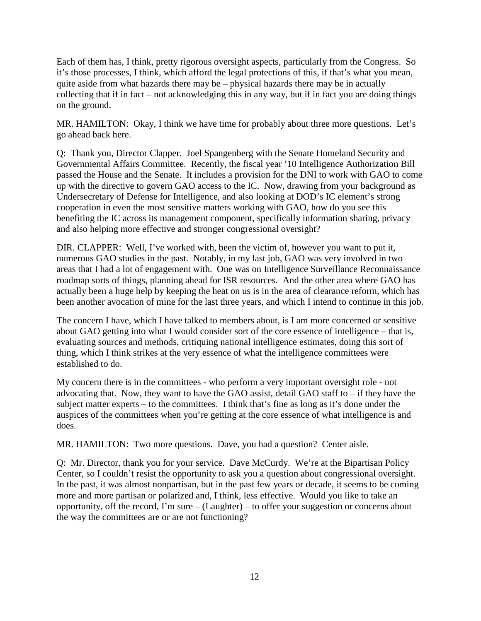Each of them has, I think, pretty rigorous oversight aspects, particularly from the Congress. So it's those processes, I think, which afford the legal protections of this, if that's what you mean, quite aside from what hazards there may be – physical hazards there may be in actually collecting that if in fact – not acknowledging this in any way, but if in fact you are doing things on the ground.

MR. HAMILTON: Okay, I think we have time for probably about three more questions. Let's go ahead back here.

Q: Thank you, Director Clapper. Joel Spangenberg with the Senate Homeland Security and Governmental Affairs Committee. Recently, the fiscal year '10 Intelligence Authorization Bill passed the House and the Senate. It includes a provision for the DNI to work with GAO to come up with the directive to govern GAO access to the IC. Now, drawing from your background as Undersecretary of Defense for Intelligence, and also looking at DOD's IC element's strong cooperation in even the most sensitive matters working with GAO, how do you see this benefiting the IC across its management component, specifically information sharing, privacy and also helping more effective and stronger congressional oversight?

DIR. CLAPPER: Well, I've worked with, been the victim of, however you want to put it, numerous GAO studies in the past. Notably, in my last job, GAO was very involved in two areas that I had a lot of engagement with. One was on Intelligence Surveillance Reconnaissance roadmap sorts of things, planning ahead for ISR resources. And the other area where GAO has actually been a huge help by keeping the heat on us is in the area of clearance reform, which has been another avocation of mine for the last three years, and which I intend to continue in this job.

The concern I have, which I have talked to members about, is I am more concerned or sensitive about GAO getting into what I would consider sort of the core essence of intelligence – that is, evaluating sources and methods, critiquing national intelligence estimates, doing this sort of thing, which I think strikes at the very essence of what the intelligence committees were established to do.

My concern there is in the committees - who perform a very important oversight role - not advocating that. Now, they want to have the GAO assist, detail GAO staff to – if they have the subject matter experts – to the committees. I think that's fine as long as it's done under the auspices of the committees when you're getting at the core essence of what intelligence is and does.

MR. HAMILTON: Two more questions. Dave, you had a question? Center aisle.

Q: Mr. Director, thank you for your service. Dave McCurdy. We're at the Bipartisan Policy Center, so I couldn't resist the opportunity to ask you a question about congressional oversight. In the past, it was almost nonpartisan, but in the past few years or decade, it seems to be coming more and more partisan or polarized and, I think, less effective. Would you like to take an opportunity, off the record, I'm sure – (Laughter) – to offer your suggestion or concerns about the way the committees are or are not functioning?